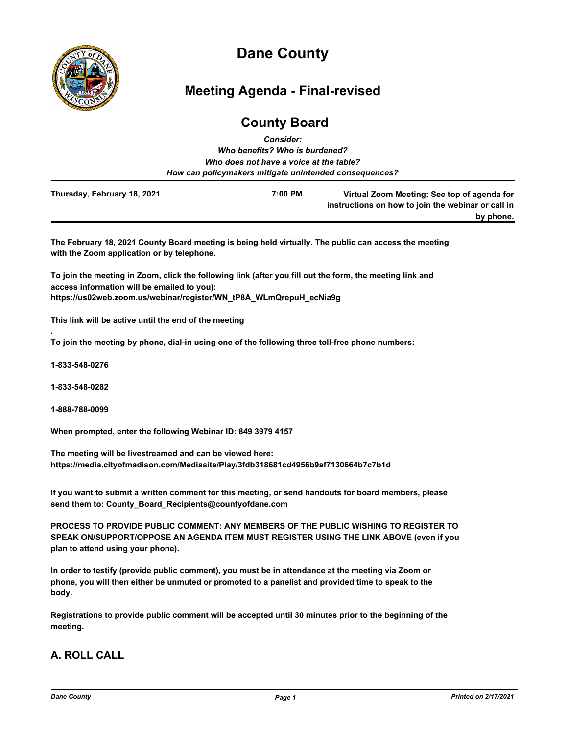

# **Dane County**

# **Meeting Agenda - Final-revised**

# **County Board**

|                             | <b>Consider:</b>                                       |                                                                                                                |
|-----------------------------|--------------------------------------------------------|----------------------------------------------------------------------------------------------------------------|
|                             | Who benefits? Who is burdened?                         |                                                                                                                |
|                             | Who does not have a voice at the table?                |                                                                                                                |
|                             | How can policymakers mitigate unintended consequences? |                                                                                                                |
| Thursday, February 18, 2021 | 7:00 PM                                                | Virtual Zoom Meeting: See top of agenda for<br>instructions on how to join the webinar or call in<br>by phone. |

**The February 18, 2021 County Board meeting is being held virtually. The public can access the meeting with the Zoom application or by telephone.**

**To join the meeting in Zoom, click the following link (after you fill out the form, the meeting link and access information will be emailed to you): https://us02web.zoom.us/webinar/register/WN\_tP8A\_WLmQrepuH\_ecNia9g**

**This link will be active until the end of the meeting**

**To join the meeting by phone, dial-in using one of the following three toll-free phone numbers:**

**1-833-548-0276**

**.**

**1-833-548-0282**

**1-888-788-0099**

**When prompted, enter the following Webinar ID: 849 3979 4157**

**The meeting will be livestreamed and can be viewed here: https://media.cityofmadison.com/Mediasite/Play/3fdb318681cd4956b9af7130664b7c7b1d**

**If you want to submit a written comment for this meeting, or send handouts for board members, please send them to: County\_Board\_Recipients@countyofdane.com**

**PROCESS TO PROVIDE PUBLIC COMMENT: ANY MEMBERS OF THE PUBLIC WISHING TO REGISTER TO SPEAK ON/SUPPORT/OPPOSE AN AGENDA ITEM MUST REGISTER USING THE LINK ABOVE (even if you plan to attend using your phone).**

**In order to testify (provide public comment), you must be in attendance at the meeting via Zoom or phone, you will then either be unmuted or promoted to a panelist and provided time to speak to the body.**

**Registrations to provide public comment will be accepted until 30 minutes prior to the beginning of the meeting.**

# **A. ROLL CALL**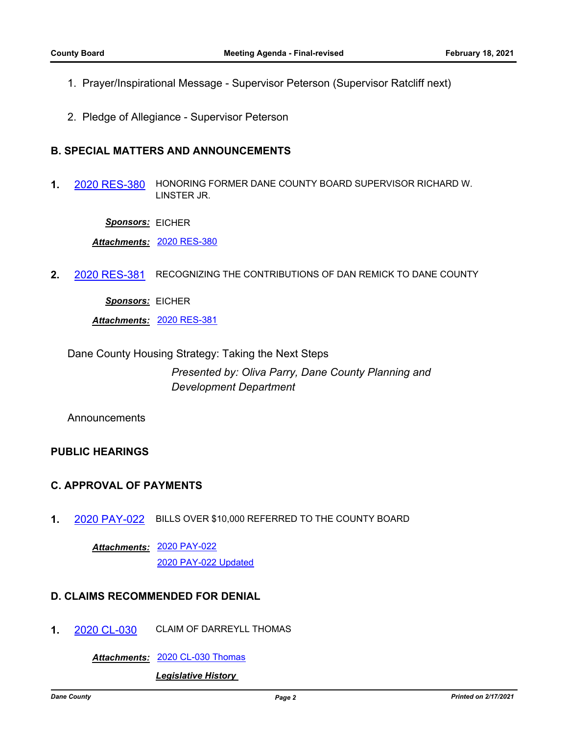- 1. Prayer/Inspirational Message Supervisor Peterson (Supervisor Ratcliff next)
- 2. Pledge of Allegiance Supervisor Peterson

# **B. SPECIAL MATTERS AND ANNOUNCEMENTS**

**1.** [2020 RES-380](http://dane.legistar.com/gateway.aspx?m=l&id=/matter.aspx?key=19404) HONORING FORMER DANE COUNTY BOARD SUPERVISOR RICHARD W. LINSTER JR.

*Sponsors:* EICHER

*Attachments:* [2020 RES-380](http://dane.legistar.com/gateway.aspx?M=F&ID=4717a6ec-959d-4203-a2fe-2713d56dd394.pdf)

**2.** [2020 RES-381](http://dane.legistar.com/gateway.aspx?m=l&id=/matter.aspx?key=19405) RECOGNIZING THE CONTRIBUTIONS OF DAN REMICK TO DANE COUNTY

*Sponsors:* EICHER

*Attachments:* [2020 RES-381](http://dane.legistar.com/gateway.aspx?M=F&ID=668e74e7-a804-4d8c-b753-55ba1721084b.pdf)

Dane County Housing Strategy: Taking the Next Steps

*Presented by: Oliva Parry, Dane County Planning and Development Department*

Announcements

# **PUBLIC HEARINGS**

# **C. APPROVAL OF PAYMENTS**

**1.** [2020 PAY-022](http://dane.legistar.com/gateway.aspx?m=l&id=/matter.aspx?key=19403) BILLS OVER \$10,000 REFERRED TO THE COUNTY BOARD

[2020 PAY-022](http://dane.legistar.com/gateway.aspx?M=F&ID=4d75bbbb-9ee3-419b-a0d4-e17847855850.pdf) *Attachments:* [2020 PAY-022 Updated](http://dane.legistar.com/gateway.aspx?M=F&ID=c4587491-aaa1-4abe-a2fc-36a05add2e64.pdf)

# **D. CLAIMS RECOMMENDED FOR DENIAL**

**1.** [2020 CL-030](http://dane.legistar.com/gateway.aspx?m=l&id=/matter.aspx?key=19356) CLAIM OF DARREYLL THOMAS

*Attachments:* [2020 CL-030 Thomas](http://dane.legistar.com/gateway.aspx?M=F&ID=465a5ad1-893c-47ab-908a-96c01cf78258.pdf)

*Legislative History*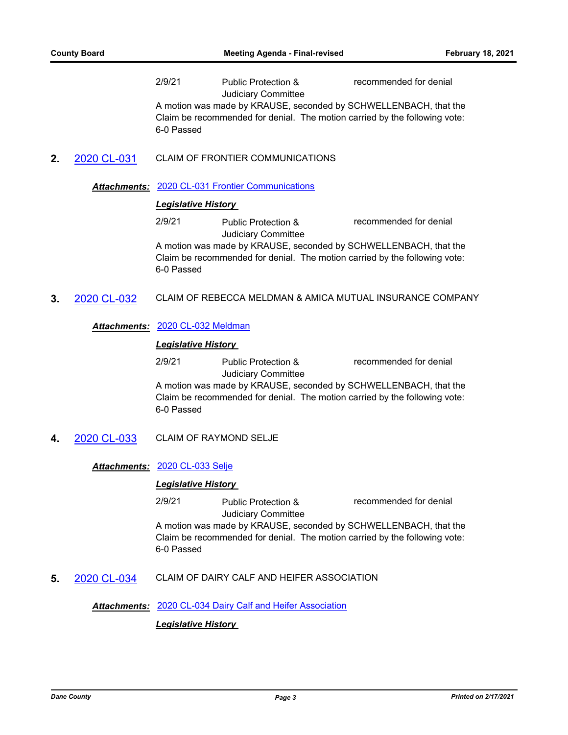2/9/21 Public Protection & Judiciary Committee recommended for denial

A motion was made by KRAUSE, seconded by SCHWELLENBACH, that the Claim be recommended for denial. The motion carried by the following vote: 6-0 Passed

**2.** [2020 CL-031](http://dane.legistar.com/gateway.aspx?m=l&id=/matter.aspx?key=19358) CLAIM OF FRONTIER COMMUNICATIONS

## *Attachments:* [2020 CL-031 Frontier Communications](http://dane.legistar.com/gateway.aspx?M=F&ID=4559c7bc-4a15-47de-bc8a-7b59c4a17f2d.pdf)

# *Legislative History*

2/9/21 Public Protection & Judiciary Committee recommended for denial

A motion was made by KRAUSE, seconded by SCHWELLENBACH, that the Claim be recommended for denial. The motion carried by the following vote: 6-0 Passed

**3.** [2020 CL-032](http://dane.legistar.com/gateway.aspx?m=l&id=/matter.aspx?key=19359) CLAIM OF REBECCA MELDMAN & AMICA MUTUAL INSURANCE COMPANY

*Attachments:* [2020 CL-032 Meldman](http://dane.legistar.com/gateway.aspx?M=F&ID=7ddfa6b4-a3e3-4ad5-903c-8362159a7b48.pdf)

## *Legislative History*

2/9/21 Public Protection & Judiciary Committee recommended for denial A motion was made by KRAUSE, seconded by SCHWELLENBACH, that the Claim be recommended for denial. The motion carried by the following vote: 6-0 Passed

**4.** [2020 CL-033](http://dane.legistar.com/gateway.aspx?m=l&id=/matter.aspx?key=19360) CLAIM OF RAYMOND SELJE

*Attachments:* [2020 CL-033 Selje](http://dane.legistar.com/gateway.aspx?M=F&ID=be3e9fa4-7858-42fe-a323-c3b57bd4c901.pdf)

#### *Legislative History*

2/9/21 Public Protection & Judiciary Committee recommended for denial

A motion was made by KRAUSE, seconded by SCHWELLENBACH, that the Claim be recommended for denial. The motion carried by the following vote: 6-0 Passed

**5.** [2020 CL-034](http://dane.legistar.com/gateway.aspx?m=l&id=/matter.aspx?key=19361) CLAIM OF DAIRY CALF AND HEIFER ASSOCIATION

*Attachments:* [2020 CL-034 Dairy Calf and Heifer Association](http://dane.legistar.com/gateway.aspx?M=F&ID=d79dfd94-ff29-4b7f-8c09-ce6c4b8b29ec.pdf)

*Legislative History*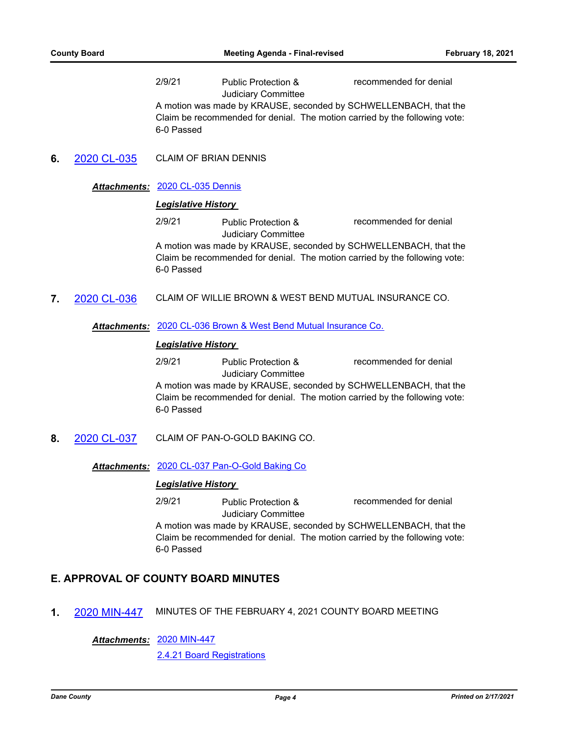2/9/21 Public Protection & Judiciary Committee recommended for denial

A motion was made by KRAUSE, seconded by SCHWELLENBACH, that the Claim be recommended for denial. The motion carried by the following vote: 6-0 Passed

**6.** [2020 CL-035](http://dane.legistar.com/gateway.aspx?m=l&id=/matter.aspx?key=19363) CLAIM OF BRIAN DENNIS

## *Attachments:* [2020 CL-035 Dennis](http://dane.legistar.com/gateway.aspx?M=F&ID=80aeb750-f213-416f-9dcc-e471ac454dbe.pdf)

# *Legislative History*

2/9/21 Public Protection & Judiciary Committee recommended for denial

A motion was made by KRAUSE, seconded by SCHWELLENBACH, that the Claim be recommended for denial. The motion carried by the following vote: 6-0 Passed

**7.** [2020 CL-036](http://dane.legistar.com/gateway.aspx?m=l&id=/matter.aspx?key=19382) CLAIM OF WILLIE BROWN & WEST BEND MUTUAL INSURANCE CO.

*Attachments:* [2020 CL-036 Brown & West Bend Mutual Insurance Co.](http://dane.legistar.com/gateway.aspx?M=F&ID=d7cfaf89-24d1-44f1-b3f8-ec958544bfe2.pdf)

## *Legislative History*

2/9/21 Public Protection & Judiciary Committee recommended for denial A motion was made by KRAUSE, seconded by SCHWELLENBACH, that the

Claim be recommended for denial. The motion carried by the following vote: 6-0 Passed

**8.** [2020 CL-037](http://dane.legistar.com/gateway.aspx?m=l&id=/matter.aspx?key=19383) CLAIM OF PAN-O-GOLD BAKING CO.

*Attachments:* [2020 CL-037 Pan-O-Gold Baking Co](http://dane.legistar.com/gateway.aspx?M=F&ID=108e1300-836a-4a89-9cab-dc3193507eae.pdf)

#### *Legislative History*

2/9/21 Public Protection & Judiciary Committee recommended for denial

A motion was made by KRAUSE, seconded by SCHWELLENBACH, that the Claim be recommended for denial. The motion carried by the following vote: 6-0 Passed

# **E. APPROVAL OF COUNTY BOARD MINUTES**

**1.** [2020 MIN-447](http://dane.legistar.com/gateway.aspx?m=l&id=/matter.aspx?key=19402) MINUTES OF THE FEBRUARY 4, 2021 COUNTY BOARD MEETING

### [2020 MIN-447](http://dane.legistar.com/gateway.aspx?M=F&ID=2d5763ce-f3bf-4cc3-befd-0cad60a37d1f.pdf) *Attachments:*

[2.4.21 Board Registrations](http://dane.legistar.com/gateway.aspx?M=F&ID=15b99966-2733-455a-9473-0da27ce2e563.pdf)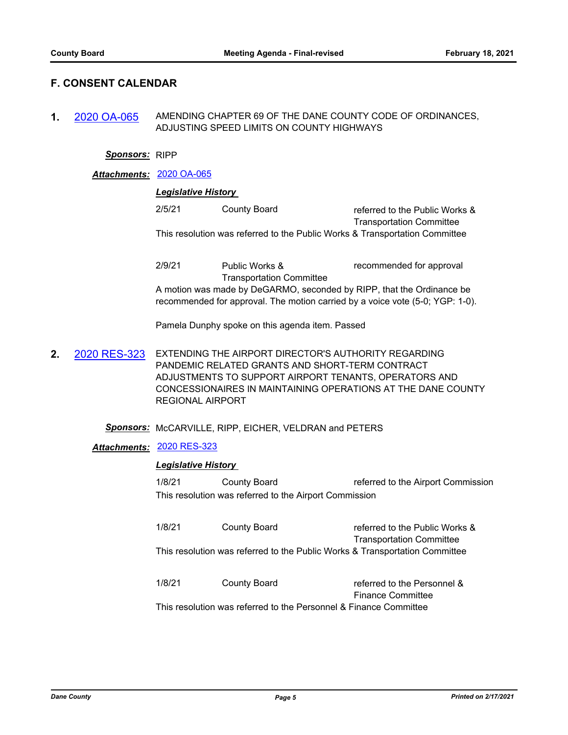# **F. CONSENT CALENDAR**

**1.** [2020 OA-065](http://dane.legistar.com/gateway.aspx?m=l&id=/matter.aspx?key=19343) AMENDING CHAPTER 69 OF THE DANE COUNTY CODE OF ORDINANCES, ADJUSTING SPEED LIMITS ON COUNTY HIGHWAYS

#### *Sponsors:* RIPP

### *Attachments:* [2020 OA-065](http://dane.legistar.com/gateway.aspx?M=F&ID=05923f77-eaba-4b11-b0fb-8b69378ad572.pdf)

## *Legislative History*

| 2/5/21 | County Board | referred to the Public Works &                                              |
|--------|--------------|-----------------------------------------------------------------------------|
|        |              | <b>Transportation Committee</b>                                             |
|        |              | This resolution was referred to the Public Works & Transportation Committee |

2/9/21 Public Works & Transportation Committee recommended for approval A motion was made by DeGARMO, seconded by RIPP, that the Ordinance be recommended for approval. The motion carried by a voice vote (5-0; YGP: 1-0).

Pamela Dunphy spoke on this agenda item. Passed

**2.** [2020 RES-323](http://dane.legistar.com/gateway.aspx?m=l&id=/matter.aspx?key=19085) EXTENDING THE AIRPORT DIRECTOR'S AUTHORITY REGARDING PANDEMIC RELATED GRANTS AND SHORT-TERM CONTRACT ADJUSTMENTS TO SUPPORT AIRPORT TENANTS, OPERATORS AND CONCESSIONAIRES IN MAINTAINING OPERATIONS AT THE DANE COUNTY REGIONAL AIRPORT

#### *Sponsors:* McCARVILLE, RIPP, EICHER, VELDRAN and PETERS

## *Attachments:* [2020 RES-323](http://dane.legistar.com/gateway.aspx?M=F&ID=b6afd441-f26b-4959-ae5d-c3b4873665dc.pdf)

#### *Legislative History*

1/8/21 County Board referred to the Airport Commission This resolution was referred to the Airport Commission

1/8/21 County Board referred to the Public Works & Transportation Committee This resolution was referred to the Public Works & Transportation Committee

1/8/21 County Board referred to the Personnel & Finance Committee This resolution was referred to the Personnel & Finance Committee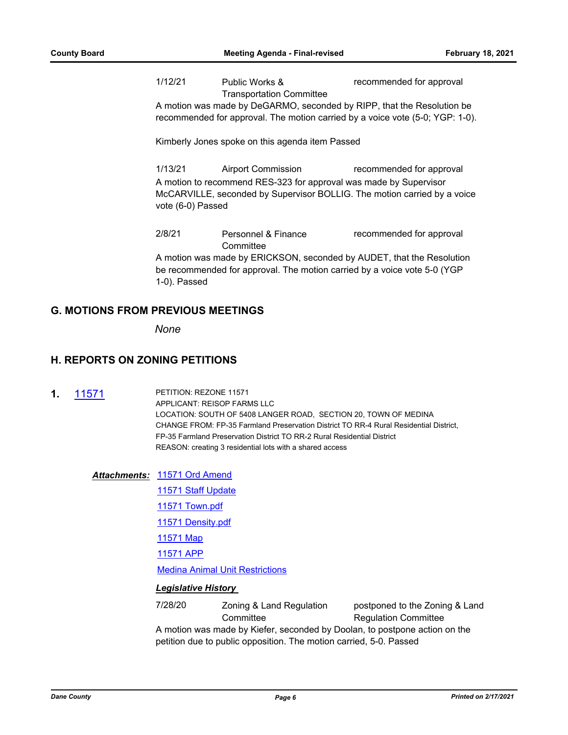1/12/21 Public Works & Transportation Committee recommended for approval

A motion was made by DeGARMO, seconded by RIPP, that the Resolution be recommended for approval. The motion carried by a voice vote (5-0; YGP: 1-0).

Kimberly Jones spoke on this agenda item Passed

1/13/21 Airport Commission recommended for approval A motion to recommend RES-323 for approval was made by Supervisor McCARVILLE, seconded by Supervisor BOLLIG. The motion carried by a voice vote (6-0) Passed

2/8/21 Personnel & Finance **Committee** recommended for approval A motion was made by ERICKSON, seconded by AUDET, that the Resolution be recommended for approval. The motion carried by a voice vote 5-0 (YGP 1-0). Passed

## **G. MOTIONS FROM PREVIOUS MEETINGS**

*None*

# **H. REPORTS ON ZONING PETITIONS**

**1.** [11571](http://dane.legistar.com/gateway.aspx?m=l&id=/matter.aspx?key=17624) PETITION: REZONE 11571 APPLICANT: REISOP FARMS LLC LOCATION: SOUTH OF 5408 LANGER ROAD, SECTION 20, TOWN OF MEDINA CHANGE FROM: FP-35 Farmland Preservation District TO RR-4 Rural Residential District, FP-35 Farmland Preservation District TO RR-2 Rural Residential District REASON: creating 3 residential lots with a shared access

#### [11571 Ord Amend](http://dane.legistar.com/gateway.aspx?M=F&ID=74b801b5-9821-4315-9847-c98f1942347a.pdf) *Attachments:*

[11571 Staff Update](http://dane.legistar.com/gateway.aspx?M=F&ID=ba3c9462-c6bf-4413-be46-7d8e1cef5608.pdf)

[11571 Town.pdf](http://dane.legistar.com/gateway.aspx?M=F&ID=75afcfd1-e3d6-43a0-856e-806e34dcf9c7.pdf)

[11571 Density.pdf](http://dane.legistar.com/gateway.aspx?M=F&ID=263db0ac-b640-4926-9a80-85d01ffe7d27.pdf)

[11571 Map](http://dane.legistar.com/gateway.aspx?M=F&ID=69175183-9679-49de-bf74-d33895a26c1f.pdf)

[11571 APP](http://dane.legistar.com/gateway.aspx?M=F&ID=d504eab8-8000-45bd-ad22-70cef4dee00c.pdf)

[Medina Animal Unit Restrictions](http://dane.legistar.com/gateway.aspx?M=F&ID=df3e0c1e-8ec1-4ef5-9b6f-0adf4c06b986.pdf)

#### *Legislative History*

7/28/20 Zoning & Land Regulation **Committee** postponed to the Zoning & Land Regulation Committee A motion was made by Kiefer, seconded by Doolan, to postpone action on the petition due to public opposition. The motion carried, 5-0. Passed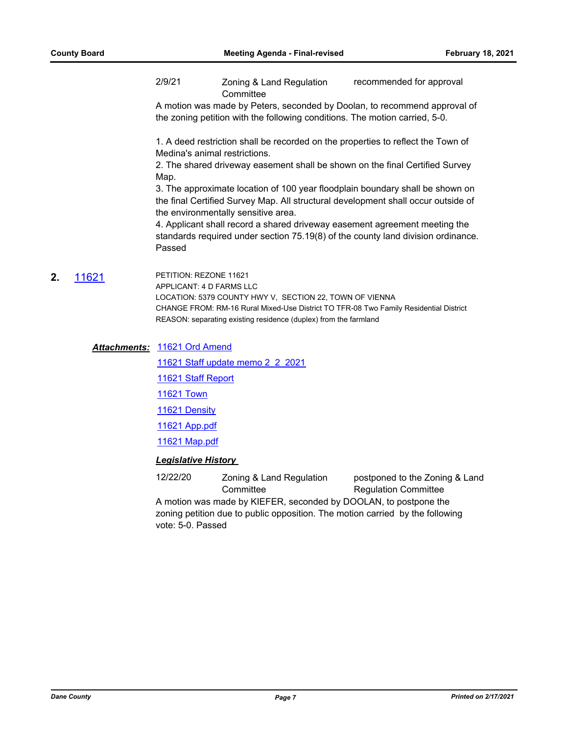2/9/21 Zoning & Land Regulation **Committee** recommended for approval

A motion was made by Peters, seconded by Doolan, to recommend approval of the zoning petition with the following conditions. The motion carried, 5-0.

1. A deed restriction shall be recorded on the properties to reflect the Town of Medina's animal restrictions.

2. The shared driveway easement shall be shown on the final Certified Survey Map.

3. The approximate location of 100 year floodplain boundary shall be shown on the final Certified Survey Map. All structural development shall occur outside of the environmentally sensitive area.

4. Applicant shall record a shared driveway easement agreement meeting the standards required under section 75.19(8) of the county land division ordinance. Passed

**2.** [11621](http://dane.legistar.com/gateway.aspx?m=l&id=/matter.aspx?key=18543) PETITION: REZONE 11621 APPLICANT: 4 D FARMS LLC LOCATION: 5379 COUNTY HWY V, SECTION 22, TOWN OF VIENNA CHANGE FROM: RM-16 Rural Mixed-Use District TO TFR-08 Two Family Residential District REASON: separating existing residence (duplex) from the farmland

> [11621 Ord Amend](http://dane.legistar.com/gateway.aspx?M=F&ID=1071cd96-fdd5-4676-bd86-6587e0e03b7a.pdf) *Attachments:* [11621 Staff update memo 2\\_2\\_2021](http://dane.legistar.com/gateway.aspx?M=F&ID=d50a8f92-7ffc-41a7-9903-d9f479748cde.pdf) [11621 Staff Report](http://dane.legistar.com/gateway.aspx?M=F&ID=0851f488-65c7-4e05-8f1c-2c791b62df54.pdf) [11621 Town](http://dane.legistar.com/gateway.aspx?M=F&ID=b8f21797-807f-4047-a5b5-869368782d15.pdf) [11621 Density](http://dane.legistar.com/gateway.aspx?M=F&ID=dfd86334-f712-4e79-a604-3f6971b1e2f8.pdf) [11621 App.pdf](http://dane.legistar.com/gateway.aspx?M=F&ID=0bb02d85-2bc6-4481-96af-4db2b0ebb852.pdf)

[11621 Map.pdf](http://dane.legistar.com/gateway.aspx?M=F&ID=6e73a1a3-464b-41b2-8b66-86167876a563.pdf)

## *Legislative History*

12/22/20 Zoning & Land Regulation **Committee** postponed to the Zoning & Land Regulation Committee A motion was made by KIEFER, seconded by DOOLAN, to postpone the zoning petition due to public opposition. The motion carried by the following vote: 5-0. Passed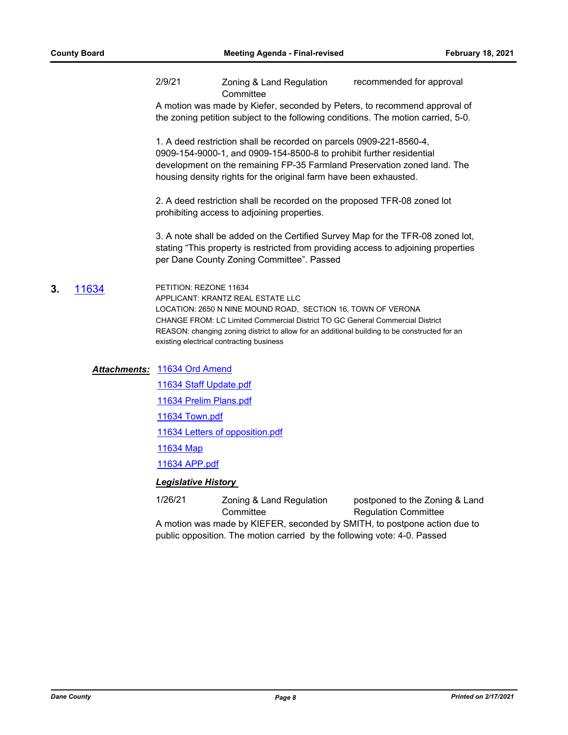2/9/21 Zoning & Land Regulation **Committee** recommended for approval

A motion was made by Kiefer, seconded by Peters, to recommend approval of the zoning petition subject to the following conditions. The motion carried, 5-0.

1. A deed restriction shall be recorded on parcels 0909-221-8560-4, 0909-154-9000-1, and 0909-154-8500-8 to prohibit further residential development on the remaining FP-35 Farmland Preservation zoned land. The housing density rights for the original farm have been exhausted.

2. A deed restriction shall be recorded on the proposed TFR-08 zoned lot prohibiting access to adjoining properties.

3. A note shall be added on the Certified Survey Map for the TFR-08 zoned lot, stating "This property is restricted from providing access to adjoining properties per Dane County Zoning Committee". Passed

**3.** [11634](http://dane.legistar.com/gateway.aspx?m=l&id=/matter.aspx?key=18865) PETITION: REZONE 11634 APPLICANT: KRANTZ REAL ESTATE LLC LOCATION: 2650 N NINE MOUND ROAD, SECTION 16, TOWN OF VERONA CHANGE FROM: LC Limited Commercial District TO GC General Commercial District REASON: changing zoning district to allow for an additional building to be constructed for an existing electrical contracting business

#### [11634 Ord Amend](http://dane.legistar.com/gateway.aspx?M=F&ID=b17ee738-b87f-45ff-b6ae-a34313a47c41.pdf) *Attachments:*

[11634 Staff Update.pdf](http://dane.legistar.com/gateway.aspx?M=F&ID=025755cd-7921-4262-88de-8a8fbecf4414.pdf)

[11634 Prelim Plans.pdf](http://dane.legistar.com/gateway.aspx?M=F&ID=b0d859cd-f4f2-49a7-bf6d-dabba0c96f27.pdf)

[11634 Town.pdf](http://dane.legistar.com/gateway.aspx?M=F&ID=6c84c76b-edb5-45ba-8693-51db38ffdab8.pdf)

[11634 Letters of opposition.pdf](http://dane.legistar.com/gateway.aspx?M=F&ID=10a406c3-563e-4a22-b5df-c199b5099076.pdf)

[11634 Map](http://dane.legistar.com/gateway.aspx?M=F&ID=8e6ad97d-6a7d-49de-abd9-01cda6819277.pdf)

[11634 APP.pdf](http://dane.legistar.com/gateway.aspx?M=F&ID=8418432e-192c-4603-aeaf-18750af8b409.pdf)

#### *Legislative History*

1/26/21 Zoning & Land Regulation **Committee** postponed to the Zoning & Land Regulation Committee A motion was made by KIEFER, seconded by SMITH, to postpone action due to public opposition. The motion carried by the following vote: 4-0. Passed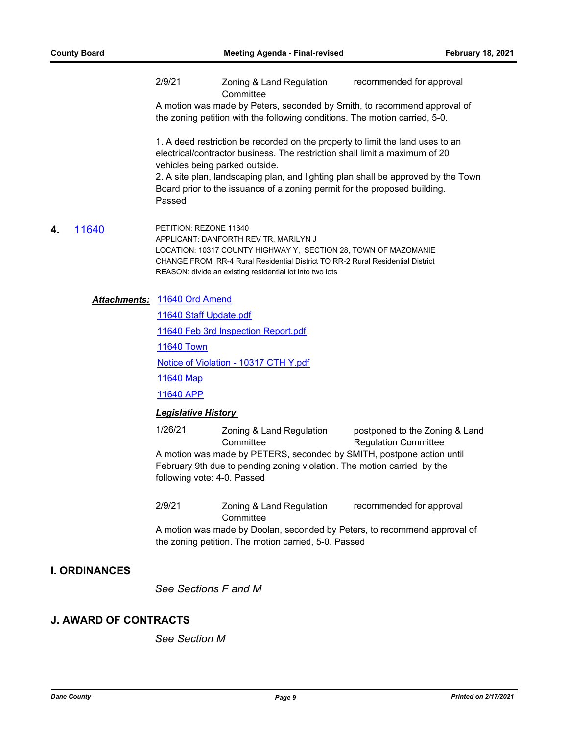2/9/21 Zoning & Land Regulation **Committee** recommended for approval

A motion was made by Peters, seconded by Smith, to recommend approval of the zoning petition with the following conditions. The motion carried, 5-0.

1. A deed restriction be recorded on the property to limit the land uses to an electrical/contractor business. The restriction shall limit a maximum of 20 vehicles being parked outside.

2. A site plan, landscaping plan, and lighting plan shall be approved by the Town Board prior to the issuance of a zoning permit for the proposed building. Passed

**4.** [11640](http://dane.legistar.com/gateway.aspx?m=l&id=/matter.aspx?key=18871) PETITION: REZONE 11640 APPLICANT: DANFORTH REV TR, MARILYN J LOCATION: 10317 COUNTY HIGHWAY Y, SECTION 28, TOWN OF MAZOMANIE CHANGE FROM: RR-4 Rural Residential District TO RR-2 Rural Residential District REASON: divide an existing residential lot into two lots

### [11640 Ord Amend](http://dane.legistar.com/gateway.aspx?M=F&ID=1476f2cd-be1b-47d3-8146-34900381c003.pdf) *Attachments:*

[11640 Staff Update.pdf](http://dane.legistar.com/gateway.aspx?M=F&ID=586b510f-30e6-482a-9265-1abb68668c2a.pdf)

[11640 Feb 3rd Inspection Report.pdf](http://dane.legistar.com/gateway.aspx?M=F&ID=6b9f9f3b-27bb-4c91-ac15-610aabe51aad.pdf)

[11640 Town](http://dane.legistar.com/gateway.aspx?M=F&ID=416e4610-847a-404f-86ad-7f705d96d9ea.pdf)

[Notice of Violation - 10317 CTH Y.pdf](http://dane.legistar.com/gateway.aspx?M=F&ID=5f2c5e1d-822e-4af6-a10e-c2e69f0c62db.pdf)

[11640 Map](http://dane.legistar.com/gateway.aspx?M=F&ID=807bf968-c364-4a21-bd05-dcc08b313023.pdf)

[11640 APP](http://dane.legistar.com/gateway.aspx?M=F&ID=642498da-7d1e-4721-820a-77e573a0439e.pdf)

## *Legislative History*

1/26/21 Zoning & Land Regulation **Committee** postponed to the Zoning & Land Regulation Committee A motion was made by PETERS, seconded by SMITH, postpone action until February 9th due to pending zoning violation. The motion carried by the following vote: 4-0. Passed

2/9/21 Zoning & Land Regulation **Committee** recommended for approval

A motion was made by Doolan, seconded by Peters, to recommend approval of the zoning petition. The motion carried, 5-0. Passed

## **I. ORDINANCES**

*See Sections F and M*

## **J. AWARD OF CONTRACTS**

*See Section M*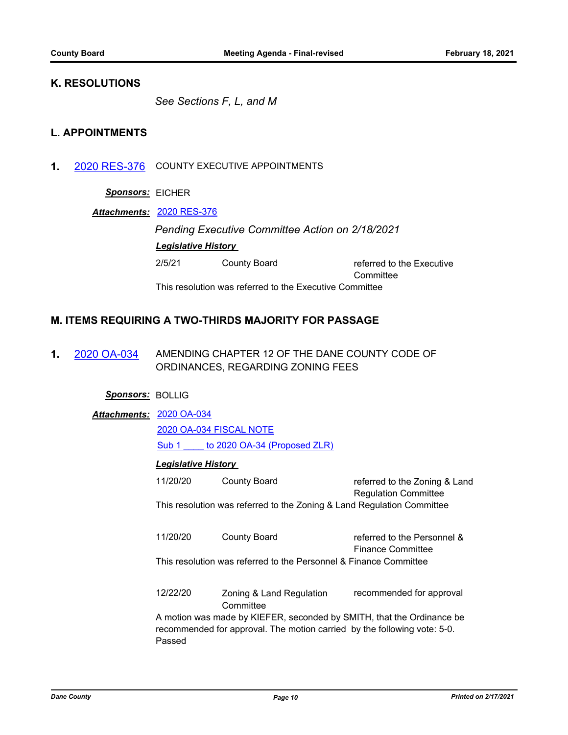# **K. RESOLUTIONS**

*See Sections F, L, and M*

# **L. APPOINTMENTS**

**1.** [2020 RES-376](http://dane.legistar.com/gateway.aspx?m=l&id=/matter.aspx?key=19354) COUNTY EXECUTIVE APPOINTMENTS

## *Sponsors:* EICHER

## *Attachments:* [2020 RES-376](http://dane.legistar.com/gateway.aspx?M=F&ID=87a84ee1-86fd-40c7-a555-464adaf36193.pdf)

*Pending Executive Committee Action on 2/18/2021 Legislative History* 

| 2/5/21 | County Board                                            | referred to the Executive |
|--------|---------------------------------------------------------|---------------------------|
|        |                                                         | Committee                 |
|        | This resolution was referred to the Executive Committee |                           |

# **M. ITEMS REQUIRING A TWO-THIRDS MAJORITY FOR PASSAGE**

**1.** [2020 OA-034](http://dane.legistar.com/gateway.aspx?m=l&id=/matter.aspx?key=18724) AMENDING CHAPTER 12 OF THE DANE COUNTY CODE OF ORDINANCES, REGARDING ZONING FEES

## *Sponsors:* BOLLIG

## [2020 OA-034](http://dane.legistar.com/gateway.aspx?M=F&ID=ea112906-881c-4090-8393-69f22b3eb7e7.pdf) *Attachments:*

[2020 OA-034 FISCAL NOTE](http://dane.legistar.com/gateway.aspx?M=F&ID=8a0409d7-6de9-4139-a559-c4e55a8f5532.pdf)

[Sub 1 \\_\\_\\_\\_ to 2020 OA-34 \(Proposed ZLR\)](http://dane.legistar.com/gateway.aspx?M=F&ID=21036689-b083-4447-b5dd-968248b6806c.pdf)

## *Legislative History*

| 11/20/20                                                                                                                                                    | <b>County Board</b>                                                    | referred to the Zoning & Land<br><b>Regulation Committee</b> |
|-------------------------------------------------------------------------------------------------------------------------------------------------------------|------------------------------------------------------------------------|--------------------------------------------------------------|
|                                                                                                                                                             | This resolution was referred to the Zoning & Land Regulation Committee |                                                              |
| 11/20/20                                                                                                                                                    | County Board                                                           | referred to the Personnel &<br><b>Finance Committee</b>      |
| This resolution was referred to the Personnel & Finance Committee                                                                                           |                                                                        |                                                              |
| 12/22/20                                                                                                                                                    | Zoning & Land Regulation<br>Committee                                  | recommended for approval                                     |
| A motion was made by KIEFER, seconded by SMITH, that the Ordinance be<br>recommended for approval. The motion carried by the following vote: 5-0.<br>Passed |                                                                        |                                                              |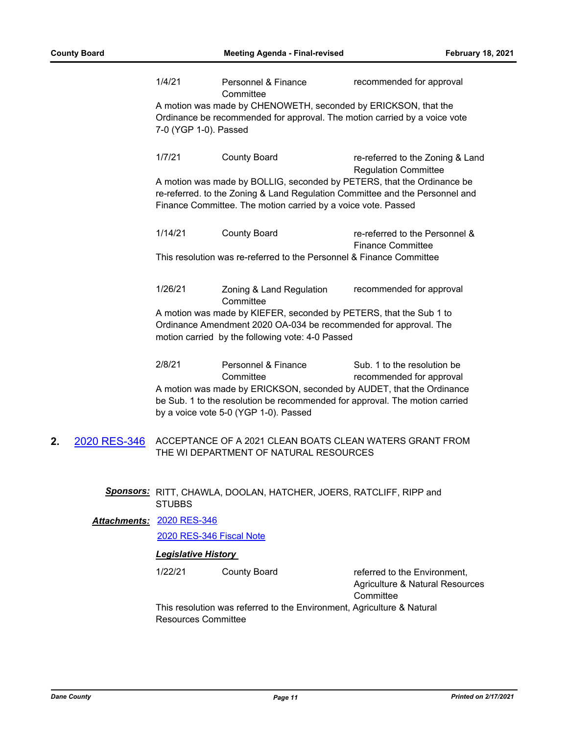|    |              | 1/4/21                                                | Personnel & Finance<br>Committee                                                                                                                                                                                                 | recommended for approval                                                     |
|----|--------------|-------------------------------------------------------|----------------------------------------------------------------------------------------------------------------------------------------------------------------------------------------------------------------------------------|------------------------------------------------------------------------------|
|    |              | 7-0 (YGP 1-0). Passed                                 | A motion was made by CHENOWETH, seconded by ERICKSON, that the<br>Ordinance be recommended for approval. The motion carried by a voice vote                                                                                      |                                                                              |
|    |              | 1/7/21                                                | <b>County Board</b>                                                                                                                                                                                                              | re-referred to the Zoning & Land<br><b>Regulation Committee</b>              |
|    |              |                                                       | A motion was made by BOLLIG, seconded by PETERS, that the Ordinance be<br>re-referred. to the Zoning & Land Regulation Committee and the Personnel and<br>Finance Committee. The motion carried by a voice vote. Passed          |                                                                              |
|    |              | 1/14/21                                               | <b>County Board</b>                                                                                                                                                                                                              | re-referred to the Personnel &<br><b>Finance Committee</b>                   |
|    |              |                                                       | This resolution was re-referred to the Personnel & Finance Committee                                                                                                                                                             |                                                                              |
|    |              | 1/26/21                                               | Zoning & Land Regulation<br>Committee                                                                                                                                                                                            | recommended for approval                                                     |
|    |              |                                                       | A motion was made by KIEFER, seconded by PETERS, that the Sub 1 to<br>Ordinance Amendment 2020 OA-034 be recommended for approval. The<br>motion carried by the following vote: 4-0 Passed                                       |                                                                              |
|    |              | 2/8/21                                                | Personnel & Finance<br>Committee<br>A motion was made by ERICKSON, seconded by AUDET, that the Ordinance<br>be Sub. 1 to the resolution be recommended for approval. The motion carried<br>by a voice vote 5-0 (YGP 1-0). Passed | Sub. 1 to the resolution be<br>recommended for approval                      |
| 2. | 2020 RES-346 |                                                       | ACCEPTANCE OF A 2021 CLEAN BOATS CLEAN WATERS GRANT FROM<br>THE WI DEPARTMENT OF NATURAL RESOURCES                                                                                                                               |                                                                              |
|    |              | <b>STUBBS</b>                                         | Sponsors: RITT, CHAWLA, DOOLAN, HATCHER, JOERS, RATCLIFF, RIPP and                                                                                                                                                               |                                                                              |
|    |              | Attachments: 2020 RES-346<br>2020 RES-346 Fiscal Note |                                                                                                                                                                                                                                  |                                                                              |
|    |              | <b>Legislative History</b>                            |                                                                                                                                                                                                                                  |                                                                              |
|    |              | 1/22/21                                               | <b>County Board</b>                                                                                                                                                                                                              | referred to the Environment,<br>Agriculture & Natural Resources<br>Committee |
|    |              | <b>Resources Committee</b>                            | This resolution was referred to the Environment, Agriculture & Natural                                                                                                                                                           |                                                                              |
|    |              |                                                       |                                                                                                                                                                                                                                  |                                                                              |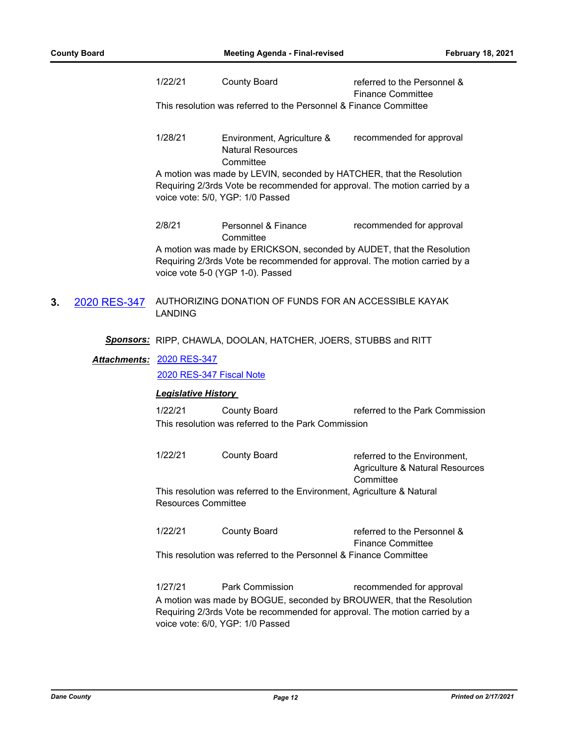1/22/21 County Board referred to the Personnel & Finance Committee This resolution was referred to the Personnel & Finance Committee

#### 1/28/21 Environment, Agriculture & Natural Resources **Committee** recommended for approval

A motion was made by LEVIN, seconded by HATCHER, that the Resolution Requiring 2/3rds Vote be recommended for approval. The motion carried by a voice vote: 5/0, YGP: 1/0 Passed

2/8/21 Personnel & Finance **Committee** recommended for approval

A motion was made by ERICKSON, seconded by AUDET, that the Resolution Requiring 2/3rds Vote be recommended for approval. The motion carried by a voice vote 5-0 (YGP 1-0). Passed

**3.** [2020 RES-347](http://dane.legistar.com/gateway.aspx?m=l&id=/matter.aspx?key=19232) AUTHORIZING DONATION OF FUNDS FOR AN ACCESSIBLE KAYAK LANDING

### *Sponsors:* RIPP, CHAWLA, DOOLAN, HATCHER, JOERS, STUBBS and RITT

## [2020 RES-347](http://dane.legistar.com/gateway.aspx?M=F&ID=c55d3d50-ecc6-4819-a71d-5fea71fac386.pdf) *Attachments:*

[2020 RES-347 Fiscal Note](http://dane.legistar.com/gateway.aspx?M=F&ID=1518fc7b-a1d4-4f36-985d-15768e2edbb1.pdf)

## *Legislative History*

1/22/21 County Board referred to the Park Commission This resolution was referred to the Park Commission

1/22/21 County Board referred to the Environment, Agriculture & Natural Resources **Committee** This resolution was referred to the Environment, Agriculture & Natural Resources Committee

1/22/21 County Board referred to the Personnel & Finance Committee This resolution was referred to the Personnel & Finance Committee

1/27/21 Park Commission recommended for approval A motion was made by BOGUE, seconded by BROUWER, that the Resolution Requiring 2/3rds Vote be recommended for approval. The motion carried by a voice vote: 6/0, YGP: 1/0 Passed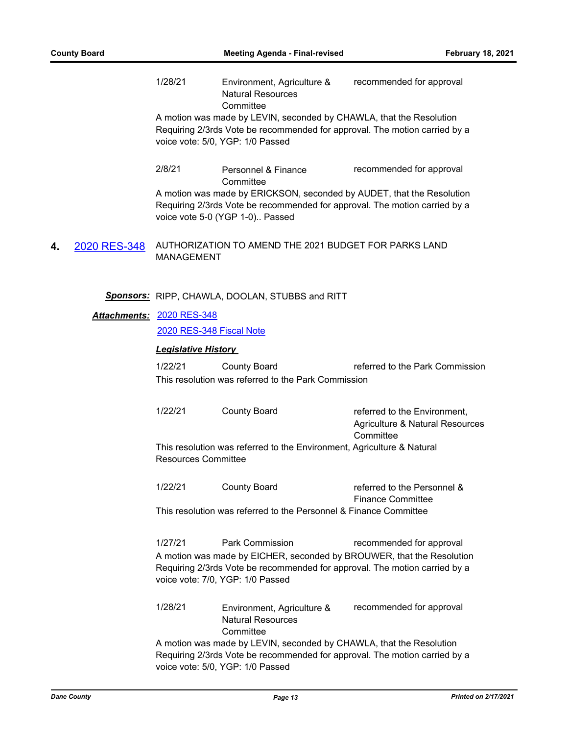1/28/21 Environment, Agriculture & Natural Resources **Committee** recommended for approval A motion was made by LEVIN, seconded by CHAWLA, that the Resolution

Requiring 2/3rds Vote be recommended for approval. The motion carried by a voice vote: 5/0, YGP: 1/0 Passed

2/8/21 Personnel & Finance **Committee** recommended for approval

A motion was made by ERICKSON, seconded by AUDET, that the Resolution Requiring 2/3rds Vote be recommended for approval. The motion carried by a voice vote 5-0 (YGP 1-0).. Passed

**4.** [2020 RES-348](http://dane.legistar.com/gateway.aspx?m=l&id=/matter.aspx?key=19233) AUTHORIZATION TO AMEND THE 2021 BUDGET FOR PARKS LAND MANAGEMENT

## *Sponsors:* RIPP, CHAWLA, DOOLAN, STUBBS and RITT

## [2020 RES-348](http://dane.legistar.com/gateway.aspx?M=F&ID=e68c2b34-50ac-4540-8ddc-33d91fa657ce.pdf) *Attachments:*

### [2020 RES-348 Fiscal Note](http://dane.legistar.com/gateway.aspx?M=F&ID=8d32ee36-120d-4fbf-918c-c92ecf35bb4a.pdf)

### *Legislative History*

1/22/21 County Board referred to the Park Commission This resolution was referred to the Park Commission

| 1/22/21                    | County Board | referred to the Environment,                                           |
|----------------------------|--------------|------------------------------------------------------------------------|
|                            |              | Agriculture & Natural Resources                                        |
|                            |              | Committee                                                              |
| <b>Resources Committee</b> |              | This resolution was referred to the Environment, Agriculture & Natural |
|                            |              |                                                                        |

1/22/21 County Board referred to the Personnel & Finance Committee This resolution was referred to the Personnel & Finance Committee

1/27/21 Park Commission recommended for approval A motion was made by EICHER, seconded by BROUWER, that the Resolution Requiring 2/3rds Vote be recommended for approval. The motion carried by a voice vote: 7/0, YGP: 1/0 Passed

1/28/21 Environment, Agriculture & Natural Resources **Committee** recommended for approval

A motion was made by LEVIN, seconded by CHAWLA, that the Resolution Requiring 2/3rds Vote be recommended for approval. The motion carried by a voice vote: 5/0, YGP: 1/0 Passed